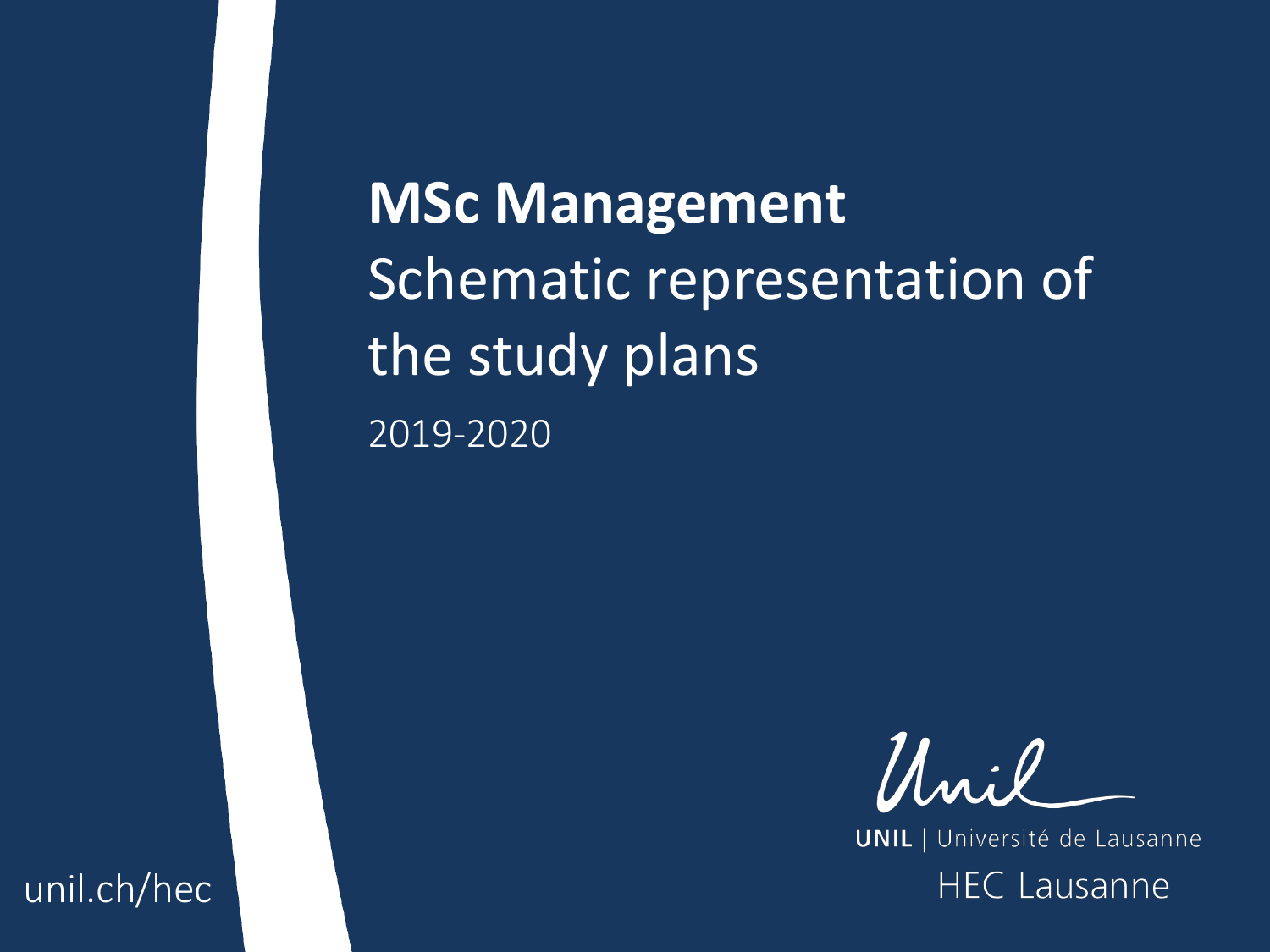**MSc Management**  Schematic representation of the study plans 2019-2020



**UNIL** | Université de Lausanne **HEC Lausanne** 

unil.ch/hec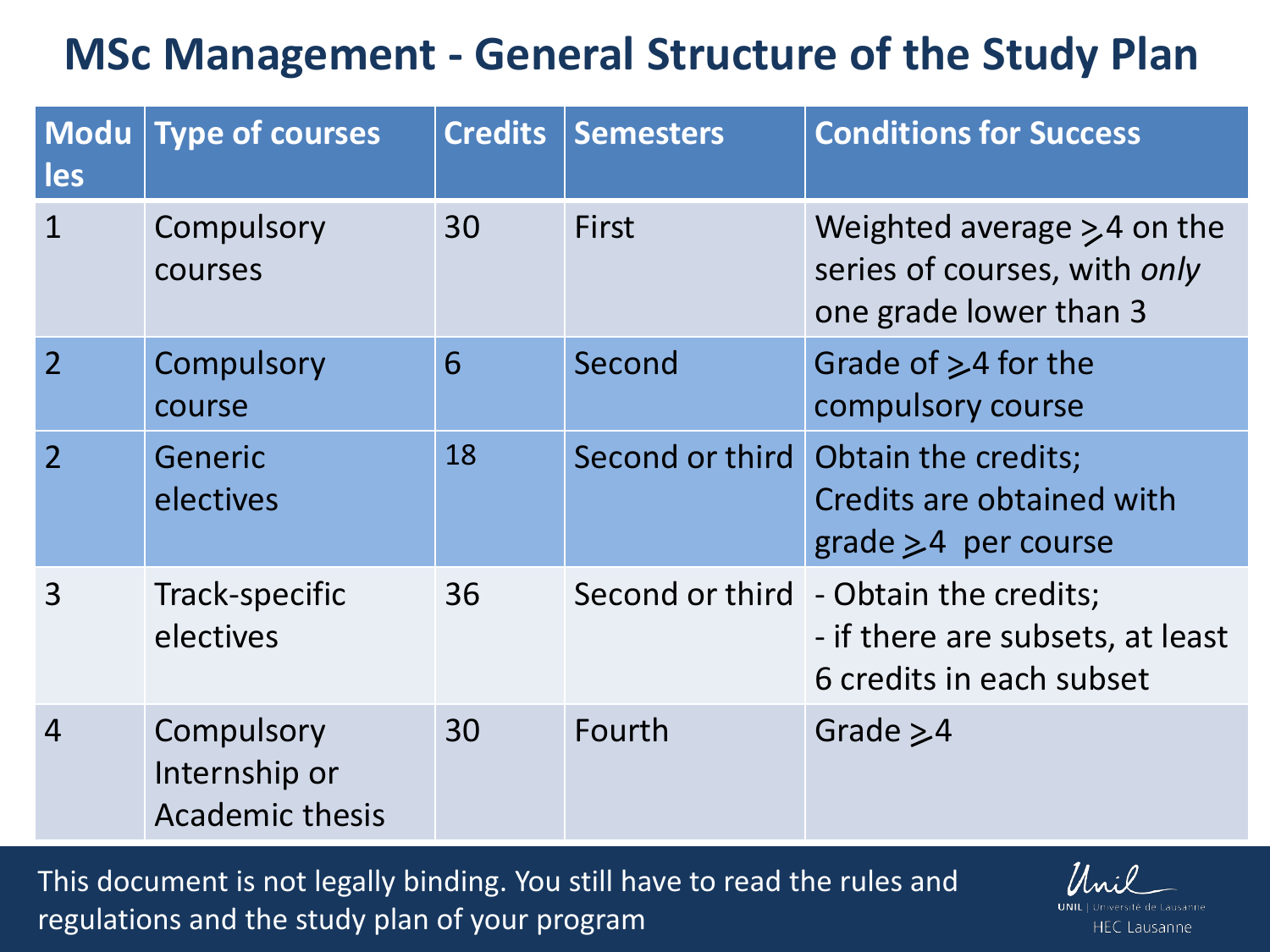## **MSc Management - General Structure of the Study Plan**

| Modu  <br>les            | Type of courses                                       | <b>Credits</b> | <b>Semesters</b> | <b>Conditions for Success</b>                                                                         |
|--------------------------|-------------------------------------------------------|----------------|------------------|-------------------------------------------------------------------------------------------------------|
| $\mathbf 1$              | Compulsory<br>courses                                 | 30             | <b>First</b>     | Weighted average $\geq 4$ on the<br>series of courses, with only<br>one grade lower than 3            |
| $\overline{2}$           | Compulsory<br>course                                  | 6              | Second           | Grade of $\geq$ 4 for the<br>compulsory course                                                        |
| $\overline{\phantom{a}}$ | Generic<br>electives                                  | 18             |                  | Second or third Obtain the credits;<br>Credits are obtained with<br>$grade > 4$ per course            |
| $\overline{3}$           | Track-specific<br>electives                           | 36             |                  | Second or third - Obtain the credits;<br>- if there are subsets, at least<br>6 credits in each subset |
| $\overline{4}$           | Compulsory<br>Internship or<br><b>Academic thesis</b> | 30             | Fourth           | Grade $\geq 4$                                                                                        |

This document is not legally binding. You still have to read the rules and regulations and the study plan of your program

**HEC Lausanne**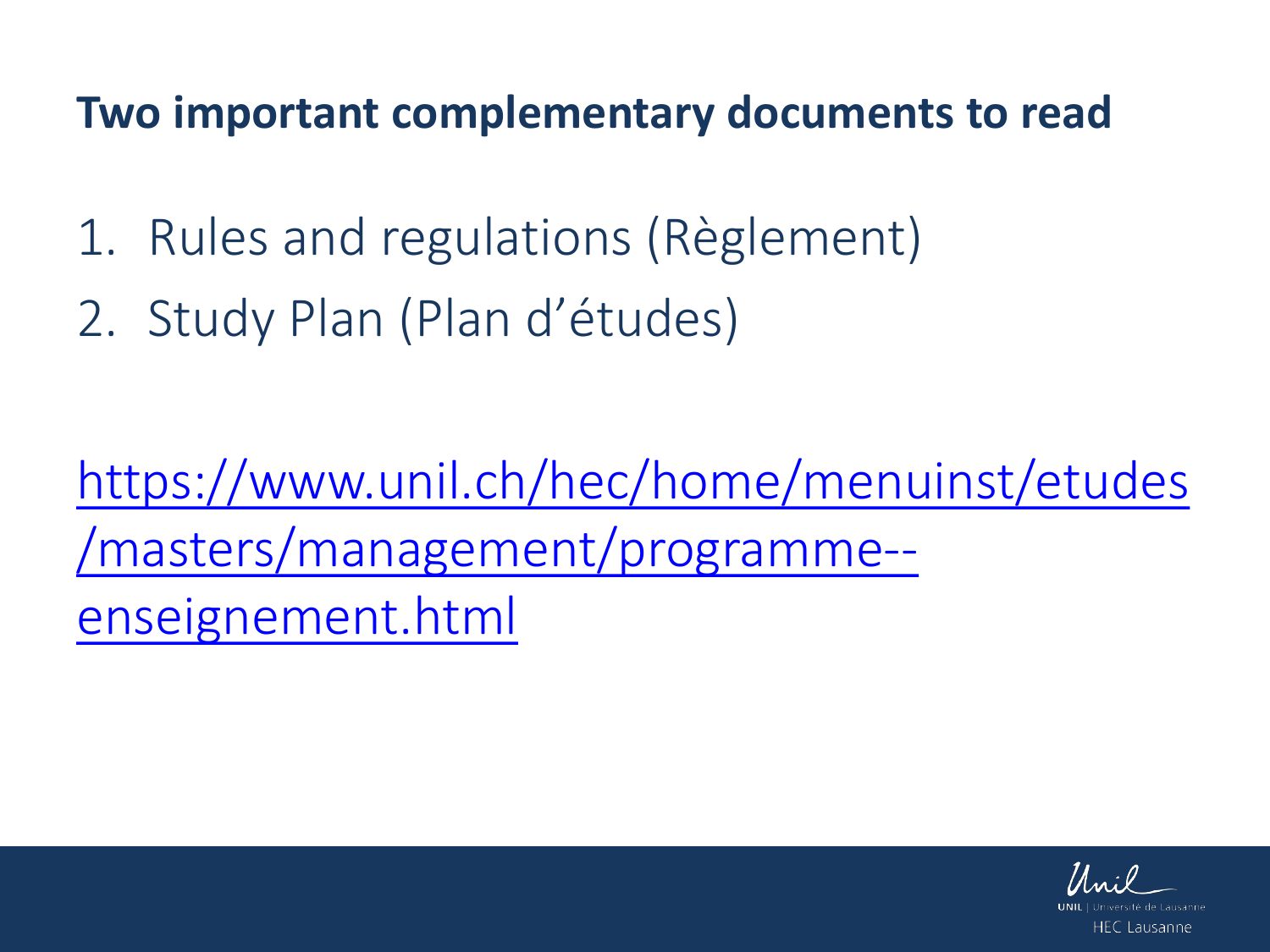**Two important complementary documents to read**

- 1. Rules and regulations (Règlement)
- 2. Study Plan (Plan d'études)

[https://www.unil.ch/hec/home/menuinst/etudes](https://www.unil.ch/hec/home/menuinst/etudes/masters/management/programme--enseignement.html) /masters/management/programme- enseignement.html

HFC Lausanne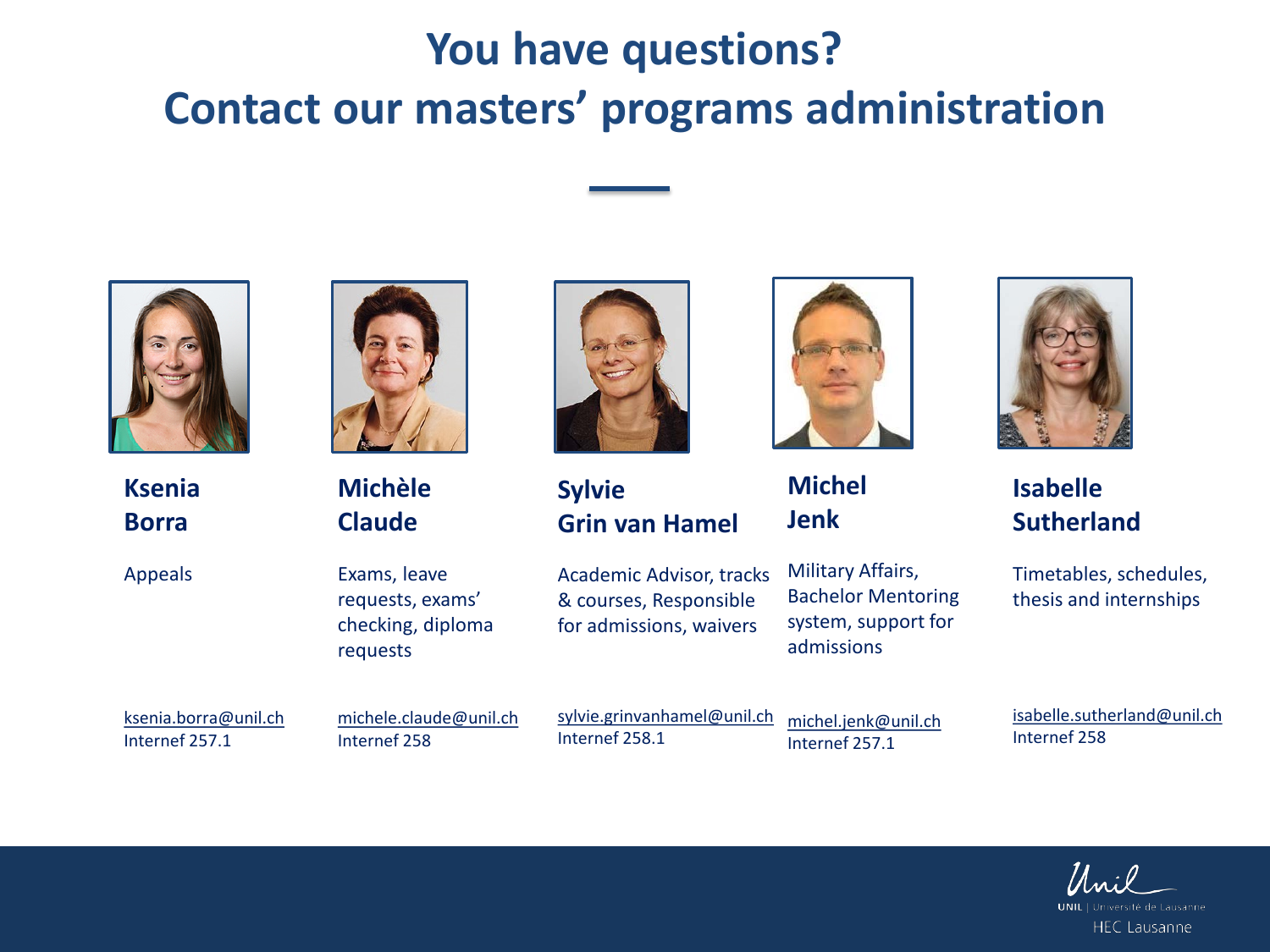## **You have questions? Contact our masters' programs administration**



**Ksenia Borra**

Appeals



**Michèle Claude**

Exams, leave requests, exams' checking, diploma requests

ksenia.borra@unil.ch Internef 257.1

michele.claude@unil.ch Internef 258

sylvie.grinvanhamel@unil.ch Internef 258.1

**Grin van Hamel**

Academic Advisor, tracks & courses, Responsible for admissions, waivers

**Sylvie** 

michel.jenk@unil.ch Internef 257.1

admissions

Military Affairs, Bachelor Mentoring system, support for

**Michel** 

**Jenk**



**Isabelle Sutherland** 

Timetables, schedules, thesis and internships

isabelle.sutherland@unil.ch Internef 258

**HEC Lausanne**